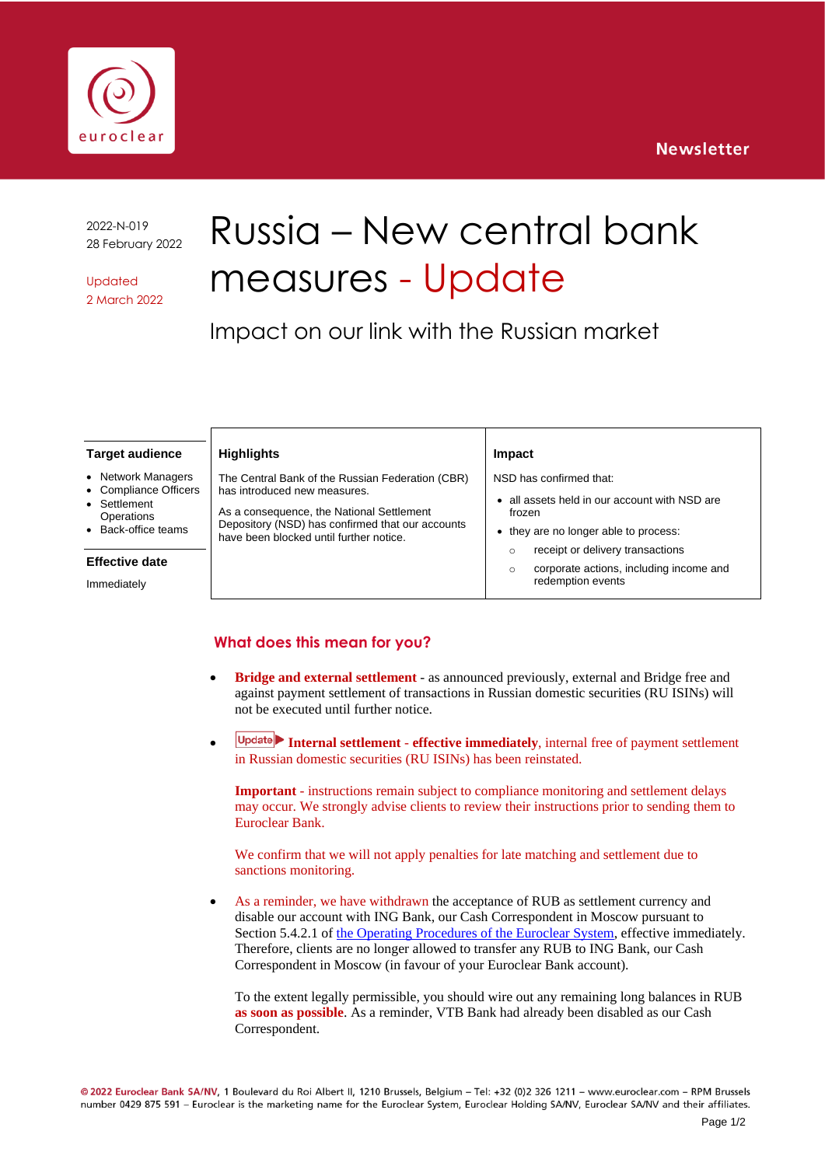



2022-N-019 28 February 2022

Updated 2 March 2022

# Russia – New central bank measures - Update

Impact on our link with the Russian market

#### **Target audience**

- **Network Managers**
- Compliance Officers
- **Settlement**
- **Operations**
- Back-office teams

#### **Effective date**

Immediately

The Central Bank of the Russian Federation (CBR) has introduced new measures.

**Highlights**

As a consequence, the National Settlement Depository (NSD) has confirmed that our accounts have been blocked until further notice.

#### **Impact**

NSD has confirmed that:

- all assets held in our account with NSD are frozen
- they are no longer able to process: o receipt or delivery transactions
	- o corporate actions, including income and redemption events

### **What does this mean for you?**

- **Bridge and external settlement** as announced previously, external and Bridge free and against payment settlement of transactions in Russian domestic securities (RU ISINs) will not be executed until further notice.
- **Internal settlement effective immediately**, internal free of payment settlement in Russian domestic securities (RU ISINs) has been reinstated.

**Important** - instructions remain subject to compliance monitoring and settlement delays may occur. We strongly advise clients to review their instructions prior to sending them to Euroclear Bank.

We confirm that we will not apply penalties for late matching and settlement due to sanctions monitoring.

As a reminder, we have withdrawn the acceptance of RUB as settlement currency and disable our account with ING Bank, our Cash Correspondent in Moscow pursuant to Section 5.4.2.1 of [the Operating Procedures of the Euroclear System,](https://my.euroclear.com/content/dam/euroclear/Operational/EB/Legal%20information/Operating%20procedures/public/LG001-Operating-procedures-of-the-Euroclear-system.pdf) effective immediately. Therefore, clients are no longer allowed to transfer any RUB to ING Bank, our Cash Correspondent in Moscow (in favour of your Euroclear Bank account).

To the extent legally permissible, you should wire out any remaining long balances in RUB **as soon as possible**. As a reminder, VTB Bank had already been disabled as our Cash Correspondent.